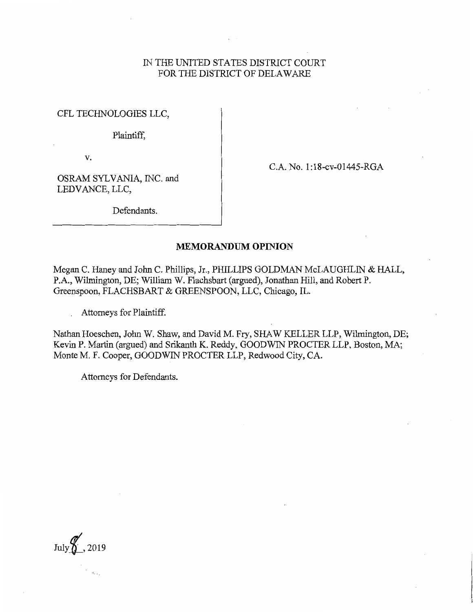## IN THE UNITED STATES DISTRICT COURT FOR THE DISTRICT OF DELAWARE

CFL TECHNOLOGIES LLC,

Plaintiff,

v.

C.A. No. 1 :18-cv-01445-RGA

OSRAM SYLVANIA, INC. and LEDV ANCE, LLC,

Defendants.

## **MEMORANDUM OPINION**

Megan C. Haney and John C. Phillips, Jr., PHILLIPS GOLDMAN McLAUGHLIN & HALL, P.A., Wilmington, DE; William W. Flachsbart (argued), Jonathan Hill, and Robert P. Greenspoon, FLACHSBART & GREENSPOON, LLC, Chicago, IL.

Attorneys for Plaintiff.

Nathan Hoeschen, John W. Shaw, and David M. Fry, SHAW KELLER LLP, Wilmington, DE; Kevin P. Martin (argued) and Srikanth K. Reddy, GOODWIN PROCTER LLP, Boston, MA; Monte M. F. Cooper, GOODWIN PROCTER LLP, Redwood City, CA.

Attorneys for Defendants.

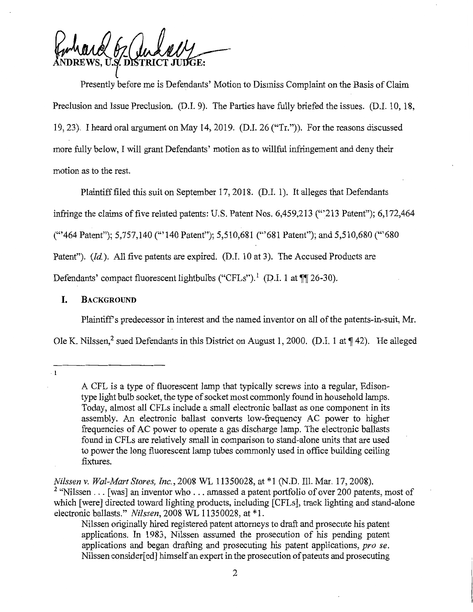Fundand 67 Judelly  $\int$ 

Presently before me is Defendants' Motion to Dismiss Complaint on the Basis of Claim Preclusion and Issue Preclusion. (D.I. 9). The Parties have fully briefed the issues. (D.I. 10, 18, 19, 23). I heard oral argument on May 14, 2019. (D.I. 26 ("Tr.")). For the reasons discussed more fully below, I will grant Defendants' motion as to willful infringement and deny their motion as to the rest.

Plaintiff filed this suit on September 17, 2018. (D.I. 1). It alleges that Defendants infringe the claims of five related patents: U.S. Patent Nos. 6,459,213 ("'213 Patent"); 6,172,464 ("'464 Patent"); 5,757,140 ("' 140 Patent"); 5,510,681 ("'681 Patent"); and 5,510,680 ('"680 Patent"). *(Id.).* All five patents are expired. *(D.I. 10 at 3)*. The Accused Products are Defendants' compact fluorescent lightbulbs ("CFLs").<sup>1</sup> (D.I. 1 at **¶** 26-30).

#### I. **BACKGROUND**

Plaintiff's predecessor in interest and the named inventor on all of the patents-in-suit, Mr.

Ole K. Nilssen,<sup>2</sup> sued Defendants in this District on August 1, 2000. (D.I. 1 at ¶42). He alleged

 $\overline{1}$ 

A CFL is a type of fluorescent lamp that typically screws into a regular, Edisontype light bulb socket, the type of socket most commonly found in household lamps. Today, almost all CFLs include a small electronic ballast as one component in its assembly. An electronic ballast converts low-frequency AC power to higher frequencies of AC power to operate a gas discharge lamp. The electronic ballasts found in CFLs are relatively small in comparison to stand-alone units that are used to power the long fluorescent lamp tubes commonly used in office building ceiling fixtures.

*Nilssen v. Wal-Mart Stores, Inc.,* 2008 WL 11350028, at \*1 (N.D. Ill. Mar. 17, 2008). <sup>2</sup> "Nilssen . . . [was] an inventor who . . . amassed a patent portfolio of over 200 patents, most of which [were] directed toward lighting products, including [CFLs], track lighting and stand-alone electronic ballasts." *Nilssen,* 2008 WL 11350028, at \*1.

Nilssen originally hired registered patent attorneys to draft and prosecute his patent applications. In 1983, Nilssen assumed the prosecution of his pending patent applications and began drafting and prosecuting his patent applications, *pro se.*  Nilssen consider[ ed] himself an expert in the prosecution of patents and prosecuting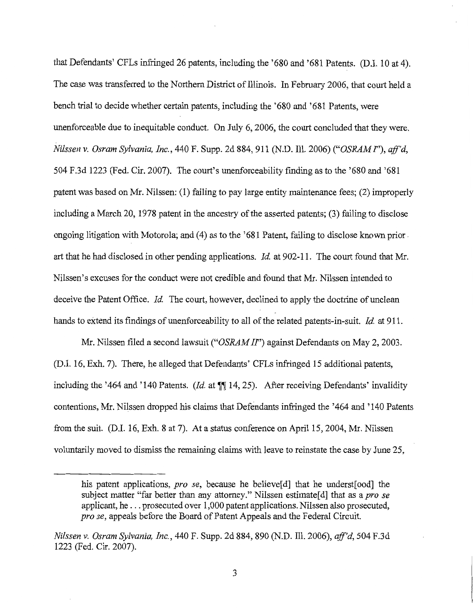that Defendants' CFLs infringed 26 patents, including the '680 and '681 Patents. (D.I. 10 at 4). The case was transferred to the Northern District of Illinois. In February 2006, that court held a bench trial to decide whether certain patents, including the '680 and '681 Patents, were unenforceable due to inequitable conduct. On July 6, 2006, the court concluded that they were. *Nilssen v. Osram Sylvania, Inc.,* 440 F. Supp. 2d 884, 911 (N.D. Ill. 2006) *("OSRAM I"), ajf'd,*  504 F.3d 1223 (Fed. Cir. 2007). The court's unenforceability finding as to the '680 and '681 patent was based on Mr. Nilssen: (1) failing to pay large entity maintenance fees; (2) improperly including a March 20, 1978 patent in the ancestry of the asserted patents; (3) failing to disclose ongoing litigation with Motorola; and  $(4)$  as to the '681 Patent, failing to disclose known prior  $\overline{\phantom{a}}$ art that he had disclosed in other pending applications. *Id* at 902-11. The court found that Mr. Nilssen's excuses for the conduct were not credible and found that Mr. Nilssen intended to deceive the Patent Office. *Id.* The court, however, declined to apply the doctrine of unclean hands to extend its findings of unenforceability to all of the related patents-in-suit. *Id* at 911.

Mr. Nilssen filed a second lawsuit *("OSRAM II")* against Defendants on May 2, 2003. (D.I. 16, Exh. 7). There, he alleged that Defendants' CFLs infringed 15 additional patents, including the '464 and '140 Patents. *(Id. at*  $\P$  14, 25). After receiving Defendants' invalidity contentions, Mr. Nilssen dropped his claims that Defendants infringed the '464 and '140 Patents from the suit. (D.I. 16, Exh. 8 at 7). At a status conference on April 15, 2004, Mr. Nilssen voluntarily moved to dismiss the remaining claims with leave to reinstate the case by June 25,

his patent applications, *pro se,* because he believe[d] that he underst[ood] the subject matter "far better than any attorney." Nilssen estimate<sup>[d]</sup> that as a *pro se* applicant, he ... prosecuted over 1,000 patent applications. Nilssen also prosecuted, *prose,* appeals before the Board of Patent Appeals and the Federal Circuit.

*Nilssen v. Osram Sylvania, Inc.,* 440 F. Supp. 2d 884,890 (N.D. Ill. 2006), *ajf'd,* 504 F.3d 1223 (Fed. Cir. 2007).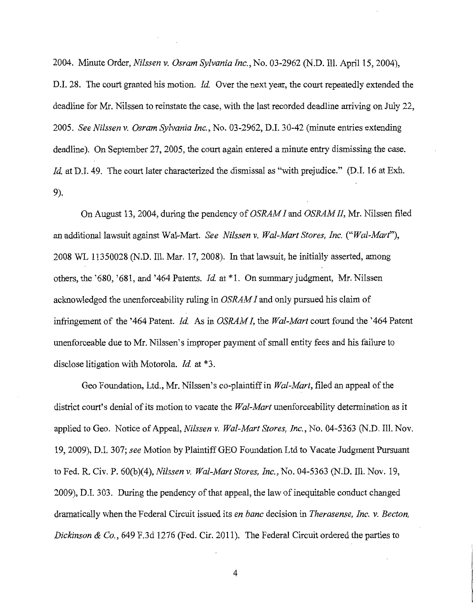2004. Minute Order, *Nilssen v. Osram Sylvania Inc.,* No. 03-2962 (N.D. Ill. April 15, 2004),

D.I. 28. The court granted his motion. *Id.* Over the next year, the court repeatedly extended the deadline for Mr. Nilssen to reinstate the case, with the last recorded deadline arriving on July 22, 2005. *See Nilssen v. Osram Sylvania Inc.,* No. 03-2962, D.I. 30-42 (minute entries extending deadline). On September 27, 2005, the court again entered a minute entry dismissing the case. *Id.* at D.I. 49. The court later characterized the dismissal as "with prejudice." (D.I. 16 at Exh. 9).

On August 13, 2004, during the pendency of *OSRAM I* and *OSRAM II,* Mr. Nilssen filed an additional lawsuit against Wal-Mart. *See Nilssen v. Wal-Mart Stores, Inc. ("Wal-Marf'),*  2008 WL 11350028 (N.D. Ill. Mar. 17, 2008). In that lawsuit, he initially asserted, among others, the '680, '681, and '464 Patents. *Id* at \*l. On summary judgment, Mr. Nilssen acknowledged the unenforceability ruling in *OSRAM I* and only pursued his claim of infringement of the '464 Patent. *Id.* As in *OSRAM I*, the *Wal-Mart* court found the '464 Patent' unenforceable due to Mr. Nilssen's improper payment of small entity fees and his failure to disclose litigation with Motorola. *Id.* at \*3.

Geo Foundation, Ltd., Mr. Nilssen's co-plaintiff in *Wal-Mart,* filed an appeal of the district court's denial of its motion to vacate the *Wal-Mart* unenforceability determination as it applied to Geo. Notice of Appeal, *Nilssen v. Wal-Mart Stores, Inc.,* No. 04-5363 (N.D. Ill. Nov. 19, 2009), D.I. 307; *see* Motion by Plaintiff GEO Foundation Ltd to Vacate Judgment Pursuant to Fed. R. Civ. P. 60(b)(4), *Nilssen v. Wal-Mart Stores, Inc.,* No. 04-5363 (N.D. Ill. Nov. 19, 2009), D.I. 303. During the pendency of that appeal, the law of inequitable conduct changed dramatically when the Federal Circuit issued its *en bane* decision in *Therasense, Inc. v. Becton, Dickinson & Co.,* 649 F.3d 1276 (Fed. Cir.2011). The Federal Circuit ordered the parties to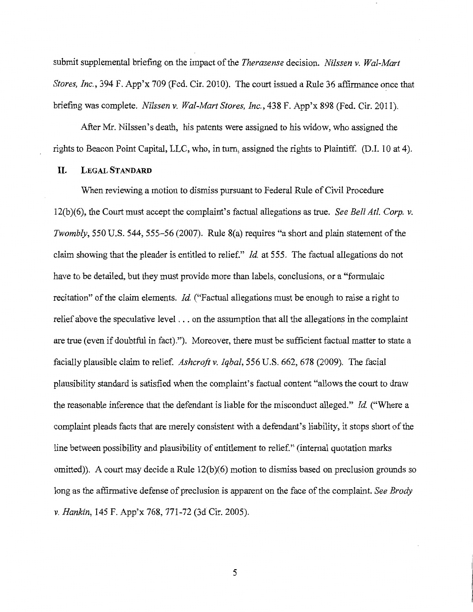submit supplemental briefing on the impact of the *Therasense* decision. *Nilssen v. Wal-Mart Stores, Inc.,* 394 F. App'x 709 (Fed. Cir. 2010). The court issued a Rule 36 affirmance once that briefing was complete. *Nilssen v. Wal-Mart Stores, Inc.,* 438 F. App'x 898 (Fed. Cir. 2011).

After Mr. Nilssen's death, his patents were assigned to his widow, who assigned the rights to Beacon Point Capital, LLC, who, in tum, assigned the rights to Plaintiff. (D.I. 10 at 4).

## **II. LEGAL STANDARD**

When reviewing a motion to dismiss pursuant to Federal Rule of Civil Procedure 12(b)(6), the Court must accept the complaint's factual allegations as true. *See Bell At!. Corp. v. Twombly,* 550 U.S. 544, 555-56 (2007). Rule 8(a) requires "a short and plain statement of the claim showing that the pleader is entitled to relief." *Id.* at 555. The factual allegations do not have to be detailed, but they must provide more than labels, conclusions, or a "formulaic recitation" of the claim elements. *Id.* ("Factual allegations must be enough to raise a right to relief above the speculative level ... on the assumption that all the allegations in the complaint are true (even if doubtful in fact)."). Moreover, there must be sufficient factual matter to state a facially plausible claim to relief. *Ashcroft v. Iqbal,* 556 U.S. 662, 678 (2009). The facial plausibility standard is satisfied when the complaint's factual content "allows the court to draw the reasonable inference that the defendant is liable for the misconduct alleged." *Id.* ("Where a complaint pleads facts that are merely consistent with a defendant's liability, it stops short of the line between possibility and plausibility of entitlement to relief." (internal quotation marks omitted)). A court may decide a Rule 12(b)(6) motion to dismiss based on preclusion grounds so long as the affirmative defense of preclusion is apparent on the face of the complaint. *See Brody v. Hankin,* 145 F. App'x 768, 771-72 (3d Cir. 2005).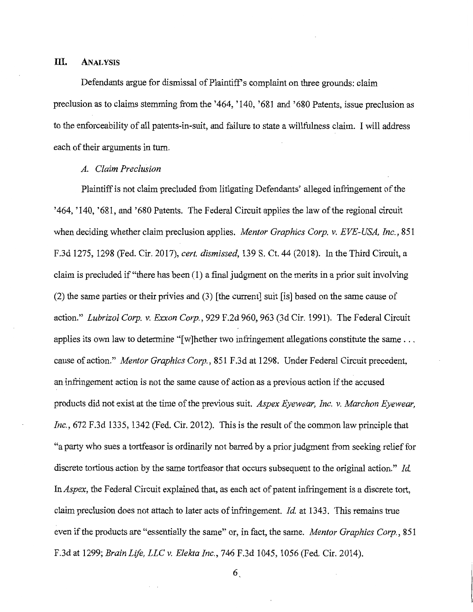## **Ill. ANALYSIS**

Defendants argue for dismissal of Plaintiff's complaint on three grounds: claim preclusion as to claims stemming from the '464, '140, '681 and '680 Patents, issue preclusion as to the enforceability of all patents-in-suit, and failure to state a willfulness claim. I will address each of their arguments in turn.

## *A. Claim Preclusion*

Plaintiff is not claim precluded from litigating Defendants' alleged infringement of the '464, '140, '681, and '680 Patents. The Federal Circuit applies the law of the regional circuit when deciding whether claim preclusion applies. *Mentor Graphics Corp. v. EVE-USA, Inc.,* 851 F.3d 1275, 1298 (Fed. Cir. 2017), *cert. dismissed,* 139 S. Ct. 44 (2018). In the Third Circuit, a claim is precluded if "there has been (1) a final judgment on the merits in a prior suit involving (2) the same parties or their privies and (3) [the current] suit [is] based on the same cause of action." *Lubrizol Corp. v. Exxon Corp.,* 929 F.2d 960, 963 (3d Cir. 1991). The Federal Circuit applies its own law to determine " $[w]$  hether two infringement allegations constitute the same  $\dots$ cause of action." *Mentor Graphics Corp.,* 851 F.3d at 1298. Under Federal Circuit precedent, an infringement action is not the same cause of action as a previous action if the accused products did not exist at the time of the previous suit. *Aspex Eyewear, Inc. v. Marchan Eyewear, Inc.,* 672 F.3d 1335, 1342 (Fed. Cir. 2012). This is the result of the common law principle that "a party who sues a tortfeasor is ordinarily not barred by a prior judgment from seeking relief for discrete tortious action by the same tortfeasor that occurs subsequent to the original action." *Id. lnAspex,* the Federal Circuit explained that, as each act of patent infringement is a discrete tort, claim preclusion does not attach to later acts of infringement. *Id.* at 1343. This remains true even if the products are "essentially the same" or, in fact, the same. *Mentor Graphics Corp.,* 851 F.3d at 1299; *Brain Life, LLC v. Elekta Inc.,* 746 F.3d 1045, 1056 (Fed. Cir. 2014).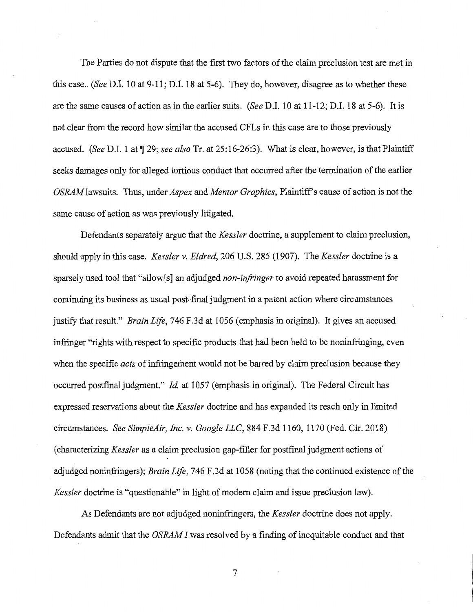The Parties do not dispute that the first two factors of the claim preclusion test are met in this case .. *(See* D.I. 10 at 9-11; D.I. 18 at 5-6). They do, however, disagree as to whether these are the same causes of action as in the earlier suits. *(See* D.I. 10 at 11-12; D.I. 18 at 5-6). It is not clear from the record how similar the accused CFLs in this case are to those previously accused. *(See D.I. 1 at ¶ 29; see also Tr. at 25:16-26:3)*. What is clear, however, is that Plaintiff seeks damages only for alleged tortious conduct that occurred after the termination of the earlier *OSRAM* lawsuits. Thus, under *Aspex* and *Mentor Graphics,* Plaintiff's cause of action is not the same cause of action as was previously litigated.

Defendants separately argue that the *Kessler* doctrine, a supplement to claim preclusion, should apply in this case. *Kessler v. Eldred,* 206 U.S. 285 (1907). The *Kessler* doctrine is a sparsely used tool that "allow[s] an adjudged *non-infringer* to avoid repeated harassment for continuing its business as usual post-final judgment in a patent action where circumstances justify that result." *Brain Life,* 746 F.3d at 1056 (emphasis in original). It gives an accused infringer "rights with respect to specific products that had been held to be noninfringing, even when the specific *acts* of infringement would not be barred by claim preclusion because they occurred postfinal judgment." *Id.* at 1057 (emphasis in original). The Federal Circuit has expressed reservations about the *Kessler* doctrine and has expanded its reach only in limited circumstances. *See SimpleAir, Inc. v. Google LLC,* 884 F.3d 1160, 1170 (Fed. Cir. 2018) ( characterizing *Kessler* as a claim preclusion gap-filler for postfinal judgment actions of adjudged noninfringers); *Brain Life,* 746 F.3d at 1058 (noting that the continued existence of the *Kessler* doctrine is "questionable" in light of modem claim and issue preclusion law).

As Defendants are not adjudged noninfringers, the *Kessler* doctrine does not apply. Defendants admit that the *OSRAM I* was resolved by a finding of inequitable conduct and that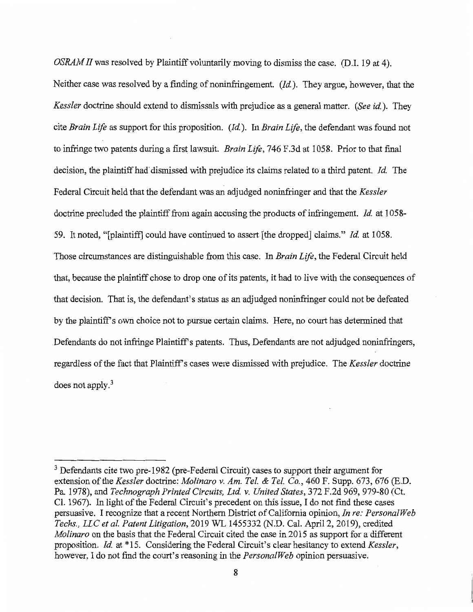*OSRAM II* was resolved by Plaintiff voluntarily moving to dismiss the case. (D.I. 19 at 4). Neither case was resolved by a finding of noninfringement. *(Id).* They argue, however, that the *Kessler* doctrine should extend to dismissals with prejudice as a general matter. *(See id).* They cite *Brain Life* as support for this proposition. *(Id).* In *Brain Life,* the defendant was found not to infringe two patents during a first lawsuit. *Brain Life,* 746 F.3d at 1058. Prior to that final decision, the plaintiff had dismissed with prejudice its claims related to a third patent. *Id.* The Federal Circuit held that the defendant was an adjudged noninfringer and that the *Kessler*  doctrine precluded the plaintiff from again accusing the products of infringement. *Id* at 1058- 59. It noted, "[plaintiff] could have continued to assert [the dropped] claims." *Id* at 1058. Those circumstances are distinguishable from this case. In *Brain Life,* the Federal Circuit held that, because the plaintiff chose to drop one of its patents, it had to live with the consequences of that decision. That is, the defendant's status as an adjudged noninfringer could not be defeated by the plaintiff's own choice not to pursue certain claims. Here, no court has determined that Defendants do not infringe Plaintiff's patents. Thus, Defendants are not adjudged noninfringers, regardless of the fact that Plaintiff's cases were dismissed with prejudice. The *Kessler* doctrine does not apply. <sup>3</sup>

<sup>&</sup>lt;sup>3</sup> Defendants cite two pre-1982 (pre-Federal Circuit) cases to support their argument for extension of the *Kessler* doctrine: *Molinaro v. Am. Tel. & Tel. Co.*, 460 F. Supp. 673, 676 (E.D. Pa. 1978), and *Technograph Printed Circuits, Ltd v. United States,* 372 F.2d 969, 979-80 (Ct. Cl. 1967). In light of the Federal Circuit's precedent on this issue, I do not find these cases persuasive. I recognize that a recent Northern District of California opinion, *In re: Persona/Web Techs., LLC et al. Patent Litigation,* 2019 WL 1455332 (N.D. Cal. April 2, 2019), credited *Molinaro* on the basis that the Federal Circuit cited the case in 2015 as support for a different proposition. *Id* at \*15. Considering the Federal Circuit's clear hesitancy to extend *Kessler,*  however, I do not find the court's reasoning in the *Persona/Web* opinion persuasive.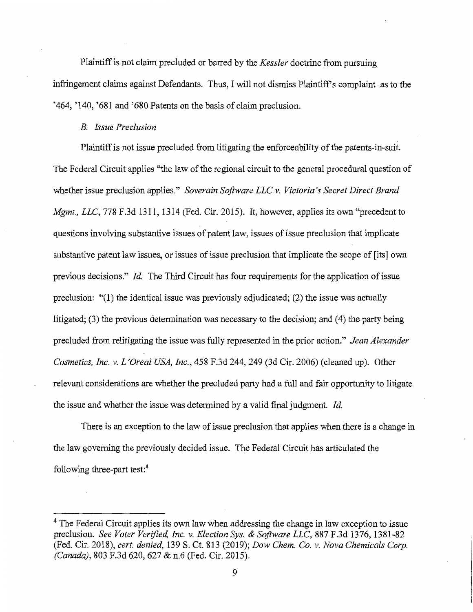Plaintiff is not claim precluded or barred by the *Kessler* doctrine from pursuing infringement claims against Defendants. Thus, I will not dismiss Plaintiff's complaint as to the '464, '140, '681 and '680 Patents on the basis of claim preclusion.

## *B. Issue Preclusion*

Plaintiff is not issue precluded from litigating the enforceability of the patents-in-suit. The Federal Circuit applies "the law of the regional circuit to the general procedural question of whether issue preclusion applies." *Soverain Software LLC v. Victoria's Secret Direct Brand Mgmt., LLC, 778* F.3d 1311, 1314 (Fed. Cir. 2015). It, however, applies its own "precedent to questions involving substantive issues of patent law, issues of issue preclusion that implicate substantive patent law issues, or issues of issue preclusion that implicate the scope of [its] own previous decisions." *Id.* The Third Circuit has four requirements for the application of issue preclusion: "(l) the identical issue was previously adjudicated; (2) the issue was actually litigated; (3) the previous determination was necessary to the decision; and (4) the party being precluded from relitigating the issue was fully represented in the prior action." *Jean Alexander Cosmetics, Inc. v. L 'Orea! USA, Inc.,* 458 F.3d 244,249 (3d Cir. 2006) (cleaned up). Other relevant considerations are whether the precluded party had a full and fair opportunity to litigate the issue and whether the issue was determined by a valid final judgment. *Id.* 

There is an exception to the law of issue preclusion that applies when there is a change in the law governing the previously decided issue. The Federal Circuit has articulated the following three-part test:<sup>4</sup>

<sup>&</sup>lt;sup>4</sup> The Federal Circuit applies its own law when addressing the change in law exception to issue preclusion. *See Voter Verified, Inc. v. Election Sys. & Software LLC,* 887 F.3d 1376, 1381-82 (Fed. Cir. 2018), *cert. denied,* 139 S. Ct. 813 (2019); *Dow Chem. Co. v. Nova Chemicals Corp. (Canada),* 803 F.3d 620, 627 & n.6 (Fed. Cir. 2015).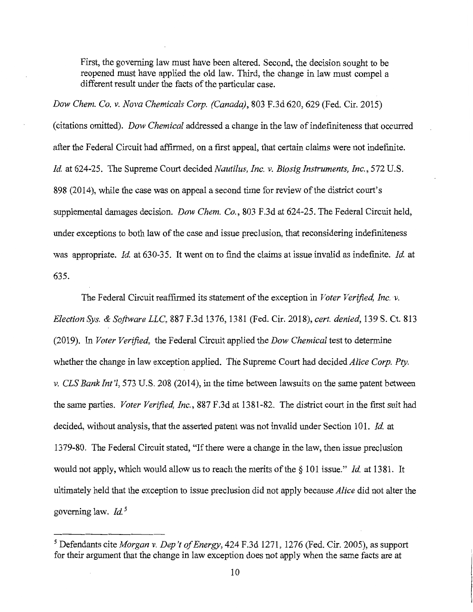First, the governing law must have been altered. Second, the decision sought to be reopened must have applied the old law. Third, the change in law must compel a different result under the facts of the particular case.

*Dow Chem. Co. v. Nova Chemicals Corp. (Canada),* 803 F.3d 620,629 (Fed. Cir. 2015) ( citations omitted). *Dow Chemical* addressed a change in the law of indefiniteness that occurred after the Federal Circuit had affirmed, on a first appeal, that certain claims were not indefinite. *Id* at 624-25. The Supreme Court decided *Nautilus, Inc. v. Biosig Instruments, Inc.,* 572 U.S. 898 (2014), while the case was on appeal a second time for review of the district court's supplemental damages decision. *Dow Chem. Co.,* 803 F.3d at 624-25. The Federal Circuit held, under exceptions to both law of the case and issue preclusion, that reconsidering indefiniteness was appropriate. *Id* at 630-35. It went on to find the claims at issue invalid as indefinite. *Id* at 635.

The Federal Circuit reaffirmed its statement of the exception in *Voter Verified, Inc. v. Election Sys. & Software LLC,* 887 F.3d 1376, 1381 (Fed. Cir. 2018), *cert. denied,* 139 S. Ct. 813 (2019). In *Voter Verified,* the Federal Circuit applied the *Dow Chemical* test to determine whether the change in law exception applied. The Supreme Court had decided *Alice Corp. Pty. v. CLS Bank Int'!,* 573 U.S. 208 (2014), in the time between lawsuits on the same patent between the same parties. *Voter Verified, Inc.,* 887 F.3d at 1381-82. The district court in the first suit had decided, without analysis, that the asserted patent was not invalid under Section 101. *Id* at 1379-80. The Federal Circuit stated, "If there were a change in the law, then issue preclusion would not apply, which would allow us to reach the merits of the§ 101 issue." *Id* at 1381. It ultimately held that the exception to issue preclusion did not apply because *Alice* did not alter the governing law. *Id* <sup>5</sup>

*<sup>5</sup>*Defendants cite *Morgan v. Dep 't of Energy,* 424 F.3d 1271, 1276 (Fed. Cir. 2005), as support for their argument that the change in law exception does not apply when the same facts are at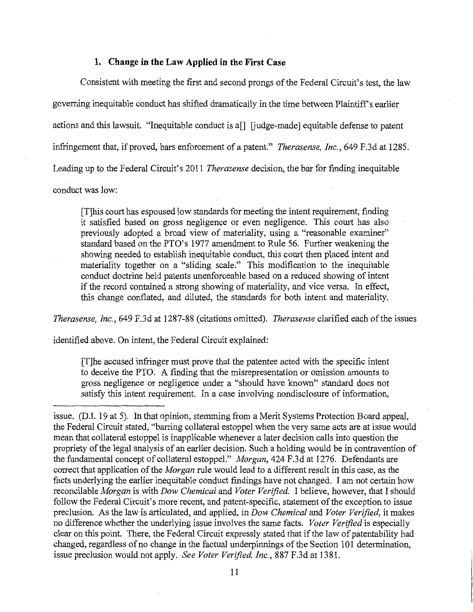#### **1. Change in the Law Applied in the First Case**

Consistent with meeting the first and second prongs of the Federal Circuit's test, the law governing inequitable conduct has shifted dramatically in the time between Plaintiffs earlier actions and this lawsuit. "Inequitable conduct is  $a \in \mathbb{R}$  [judge-made] equitable defense to patent infringement that, if proved, bars enforcement of a patent." *Therasense, Inc.,* 649 F.3d at 1285. Leading up to the Federal Circuit's 2011 *Therasense* decision, the bar for finding inequitable conduct was low:

[T]his court has espoused low standards for meeting the intent requirement, finding it satisfied based on gross negligence or even negligence. This court has also previously adopted a broad view of materiality, using a "reasonable examiner" standard based on the PTO's 1977 amendment to Rule 56. Further weakening the showing needed to establish inequitable conduct, this court then placed intent and materiality together on a "sliding scale." This modification to the inequitable conduct doctrine held patents unenforceable based on a reduced showing of intent if the record contained a strong showing of materiality, and vice versa. In effect, this change conflated, and diluted, the standards for both intent and materiality.

*Therasense, Inc.,* 649 F.3d at 1287-88 (citations omitted). *Therasense* clarified each of the issues

identified above. On intent, the Federal Circuit explained:

[T]he accused infringer must prove that the patentee acted with the specific intent to deceive the PTO. A finding that the misrepresentation or omission amounts to gross negligence or negligence under a "should have known" standard does not satisfy this intent requirement. In a case involving nondisclosure of information,

issue. (D.I. 19 at 5). In that opinion, stemming from a Merit Systems Protection Board appeal, the Federal Circuit stated, "barring collateral estoppel when the very same acts are at issue would mean that collateral estoppel is inapplicable whenever a later decision calls into question the propriety of the legal analysis of an earlier decision. Such a holding would be in contravention of the fundamental concept of collateral estoppel." *Morgan,* 424 F.3d at 1276. Defendants are correct that application of the *Morgan* rule would lead to a different result in this case, as the facts underlying the earlier inequitable conduct findings have not changed. I am not certain how reconcilable *Morgan* is with *Dow Chemical* and *Voter Verified.* I believe, however, that I should follow the Federal Circuit's more recent, and patent-specific, statement of the exception to issue preclusion. As the law is articulated, and applied, in *Dow Chemical* and *Voter Verified,* it makes no difference whether the underlying issue involves the same facts. *Voter Verified* is especially clear on this point. There, the Federal Circuit expressly stated that if the law of patentability had changed, regardless of no change in the factual underpinnings of the Section 101 determination, issue preclusion would not apply. *See Voter Verified, Inc.,* 887 F.3d at 1381.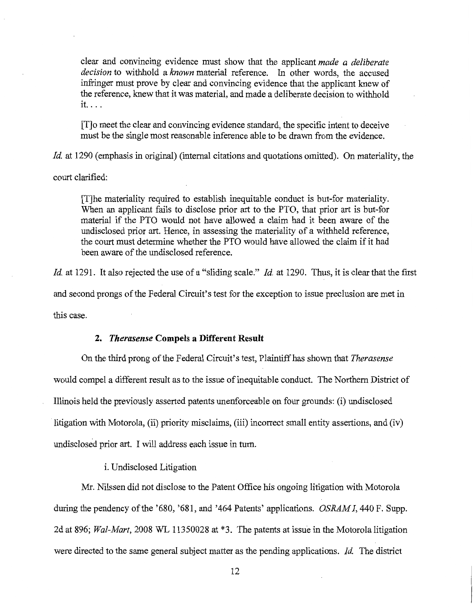clear and convincing evidence must show that the applicant *made a deliberate decision* to withhold a *known* material reference. In other words, the accused infringer must prove by clear and convincing evidence that the applicant knew of the reference, knew that it was material, and made a deliberate decision to withhold it. ...

[T]o meet the clear and convincing evidence standard, the specific intent to deceive must be the single most reasonable inference able to be drawn from the evidence.

*Id.* at 1290 (emphasis in original) (internal citations and quotations omitted). On materiality, the

court clarified:

[T]he materiality required to establish inequitable conduct is but-for materiality. When an applicant fails to disclose prior art to the PTO, that prior art is but-for material if the PTO would not have allowed a claim had it been aware of the undisclosed prior art. Hence, in assessing the materiality of a withheld reference, the court must determine whether the PTO would have allowed the claim if it had been aware of the undisclosed reference.

*Id.* at 1291. It also rejected the use of a "sliding scale." *Id.* at 1290. Thus, it is clear that the first and second prongs of the Federal Circuit's test for the exception to issue preclusion are met in this case.

#### **2.** *Therasense* **Compels a Different Result**

On the third prong of the Federal Circuit's test, Plaintiff has shown that *Therasense*  would compel a different result as to the issue of inequitable conduct. The Northern District of Illinois held the previously asserted patents unenforceable on four grounds: (i) undisclosed litigation with Motorola, (ii) priority misclaims, (iii) incorrect small entity assertions, and (iv) undisclosed prior art. I will address each issue in turn.

i. Undisclosed Litigation

Mr. Nilssen did not disclose to the Patent Office his ongoing litigation with Motorola during the pendency of the '680, '681, and '464 Patents' applications. *OSRAM I,* 440 F. Supp. 2d at 896; *Wal-Mart,* 2008 WL 11350028 at \*3. The patents at issue in the Motorola litigation were directed to the same general subject matter as the pending applications. *Id.* The district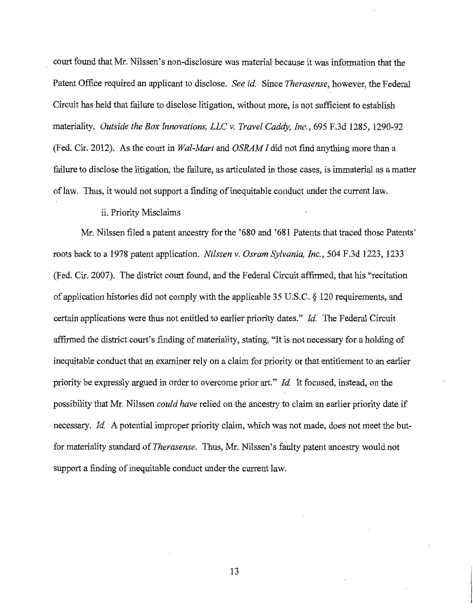court found that Mr. Nilssen's non-disclosure was material because it was information that the Patent Office required an applicant to disclose. *See id.* Since *Therasense*, however, the Federal Circuit has held that failure to disclose litigation, without more, is not sufficient to establish materiality. *Outside the Box Innovations, LLC v. Travel Caddy, Inc.,* 695 F.3d 1285, 1290-92 (Fed. Cir. 2012). As the court in *Wal-Mart* and *OSRAM I* did not find anything more than a failure to disclose the litigation, the failure, as articulated in those cases, is immaterial as a matter of law. Thus, it would not support a finding of inequitable conduct under the current law.

#### ii. Priority Misclaims

Mr. Nilssen filed a patent ancestry for the '680 and '681 Patents that traced those Patents' roots back to a 1978 patent application. *Nilssen v. Osram Sylvania, Inc.,* 504 F.3d 1223, 1233 (Fed. Cir. 2007). The district court found, and the Federal Circuit affirmed, that his "recitation of application histories did not comply with the applicable 35 U.S.C. § 120 requirements, and certain applications were thus not entitled to earlier priority dates." *Id*. The Federal Circuit affirmed the district court's finding of materiality, stating, "It is not necessary for a holding of inequitable conduct that an examiner rely on a claim for priority or that entitlement to an earlier priority be expressly argued in order to overcome prior art." *Id.* It focused, instead, on the possibility that Mr. Nilssen *could have* relied on the ancestry to claim an earlier priority date if necessary. *Id.* A potential improper priority claim, which was not made, does not meet the butfor materiality standard of *Therasense.* Thus, Mr. Nilssen's faulty patent ancestry would not support a finding of inequitable conduct under the current law.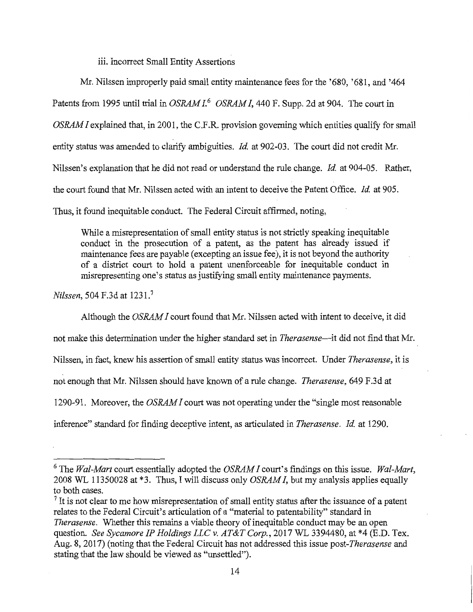iii. Incorrect Small Entity Assertions

Mr. Nilssen improperly paid small entity maintenance fees for the '680, '681, and '464 Patents from 1995 until trial in *OSRAM 1.*<sup>6</sup>*OSRAM I,* 440 F. Supp. 2d at 904. The court in *OSRAM I* explained that, in 2001, the C.F.R. provision governing which entities qualify for small entity status was amended to clarify ambiguities. *Id.* at 902-03. The court did not credit Mr. Nilssen's explanation that he did not read or understand the rule change. *Id.* at 904-05. Rather, the court found that Mr. Nilssen acted with an intent to deceive the Patent Office. *Id* at 905.

Thus, it found inequitable conduct. The Federal Circuit affirmed, noting,

While a misrepresentation of small entity status is not strictly speaking inequitable conduct in the prosecution of a patent, as the patent has already issued if maintenance fees are payable (excepting an issue fee), it is not beyond the authority of a district court to hold a patent unenforceable for inequitable conduct in misrepresenting one's status as justifying small entity maintenance payments.

*Nilssen,* 504 F.3d at 1231.<sup>7</sup>

Although the *OSRAM I* court found that Mr. Nilssen acted with intent to deceive, it did

not make this determination under the higher standard set in *Therasense*—it did not find that Mr.

Nilssen, in fact, knew his assertion of small entity status was incorrect. Under *Therasense,* it is

not enough that Mr. Nilssen should have known of a rule change. *Therasense,* 649 F.3d at

1290-91. Moreover, the *OSRAM I* court was not operating under the "single most reasonable

inference" standard for finding deceptive intent, as articulated in *Therasense. Id* at 1290.

<sup>6</sup> The *Wal-Mart* court essentially adopted the *OSRAM I* court's findings on this issue. *Wal-Mart,*  2008 WL 11350028 at \*3. Thus, I will discuss only *OSRAM I,* but my analysis applies equally to both cases.

<sup>&</sup>lt;sup>7</sup> It is not clear to me how misrepresentation of small entity status after the issuance of a patent relates to the Federal Circuit's articulation of a "material to patentability" standard in *Therasense.* Whether this remains a viable theory of inequitable conduct may be an open question. *See Sycamore IP Holdings LLC v. AT&T Corp.,* 2017 WL 3394480, at \*4 (E.D. Tex. Aug. 8, 2017) (noting that the Federal Circuit has not addressed this issue *post-Therasense* and stating that the law should be viewed as "unsettled").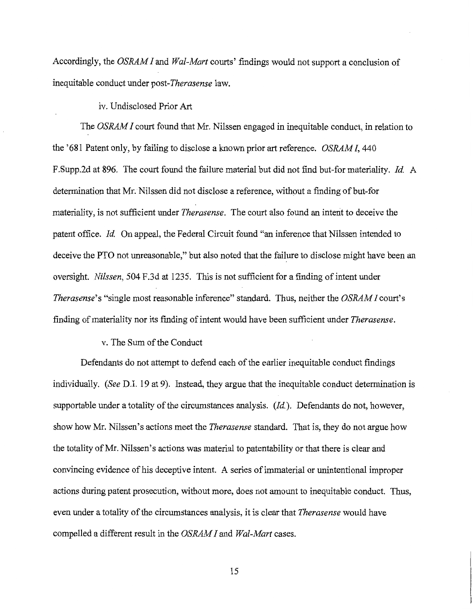Accordingly, the *OSRAM I* and *Wal-Mart* courts' findings would not support a conclusion of inequitable conduct under *post-Therasense* law.

## iv. Undisclosed Prior Art

The *OSRAM I* court found that Mr. Nilssen engaged in inequitable conduct, in relation to the '681 Patent only, by failing to disclose a known prior art reference. *OSRAM I,* 440 F.Supp.2d at 896. The court found the failure material but did not find but-for materiality. *Id.* A determination that Mr. Nilssen did not disclose a reference, without a finding of but-for materiality, is not sufficient under *Therasense.* The court also found an intent to deceive the patent office. *Id.* On appeal, the Federal Circuit found "an inference that Nilssen intended to deceive the PTO not unreasonable," but also noted that the failure to disclose might have been an oversight. *Nilssen,* 504 F.3d at 1235. This is not sufficient for a finding of intent under *Therasense'* s "single most reasonable inference" standard. Thus, neither the *OSRAM I* court's finding of materiality nor its finding of intent would have been sufficient under *Therasense.* 

#### v. The Sum of the Conduct

Defendants do not attempt to defend each of the earlier inequitable conduct findings individually. *(See* D.I. 19 at 9). Instead, they argue that the inequitable conduct determination is supportable under a totality of the circumstances analysis. *(Id.).* Defendants do not, however, show how Mr. Nilssen's actions meet the *Therasense* standard. That is, they do not argue how the totality of Mr. Nilssen's actions was material to patentability or that there is clear and convincing evidence of his deceptive intent. A series of immaterial or unintentional improper actions during patent prosecution, without more, does not amount to inequitable conduct. Thus, even under a totality of the circumstances analysis, it is clear that *Therasense* would have compelled a different result in the *OSRAM I* and *Wal-Mart* cases.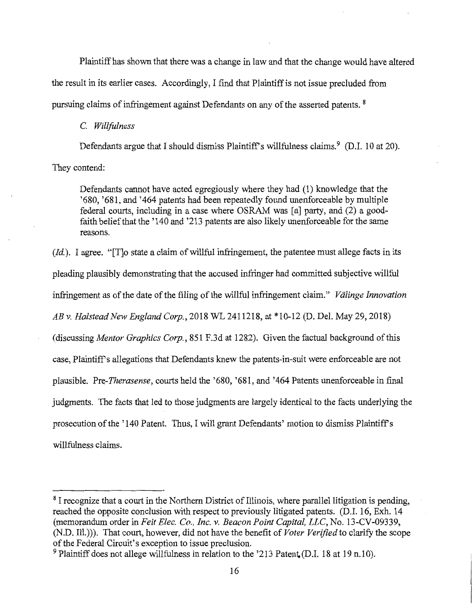Plaintiff has shown that there was a change in law and that the change would have altered the result in its earlier cases. Accordingly, I fmd that Plaintiff is not issue precluded from pursuing claims of infringement against Defendants on any of the asserted patents. 8

#### C. *Willfulness*

Defendants argue that I should dismiss Plaintiff's willfulness claims.<sup>9</sup> (D.I. 10 at 20).

They contend:

Defendants cannot have acted egregiously where they had (1) knowledge that the '680, '681, and '464 patents had been repeatedly found unenforceable by multiple federal courts, including in a case where OSRAM was [a] party, and (2) a goodfaith belief that the '140 and '213 patents are also likely unenforceable for the same reasons.

*(Id.).* I agree. "[T]o state a claim of willful infringement, the patentee must allege facts in its pleading plausibly demonstrating that the accused infringer had committed subjective willful infringement as of the date of the filing of the willful infringement claim." *Valinge Innovation AB v. Halstead New England Corp.,* 2018 WL 2411218, at \*10-12 (D. Del. May 29, 2018) (discussing *Mentor Graphics Corp.,* 851 F.3d at 1282). Given the factual background of this case, Plaintiffs allegations that Defendants knew the patents-in-suit were enforceable are not plausible. Pre-*Therasense*, courts held the '680, '681, and '464 Patents unenforceable in final judgments. The facts that led to those judgments are largely identical to the facts underlying the prosecution of the '140 Patent. Thus, I will grant Defendants' motion to dismiss Plaintiff's willfulness claims.

<sup>8</sup> I recognize that a court in the Northern District of Illinois, where parallel litigation is pending, reached the opposite conclusion with respect to previously litigated patents. (D.I. 16, Exh. 14 (memorandum order in *Feit Elec. Co., Inc. v. Beacon Point Capital, LLC,* No. 13-CV-09339, (N.D. Ill.))). That court, however, did not have the benefit of *Voter Verified* to clarify the scope of the Federal Circuit's exception to issue preclusion.

 $9$  Plaintiff does not allege willfulness in relation to the '213 Patent. (D.I. 18 at 19 n.10).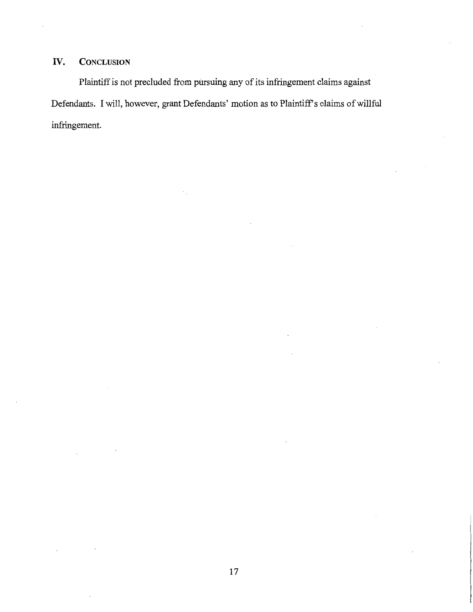# **IV. CONCLUSION**

Plaintiff is not precluded from pursuing any of its infringement claims against Defendants. I will, however, grant Defendants' motion as to Plaintiff's claims of willful infringement.